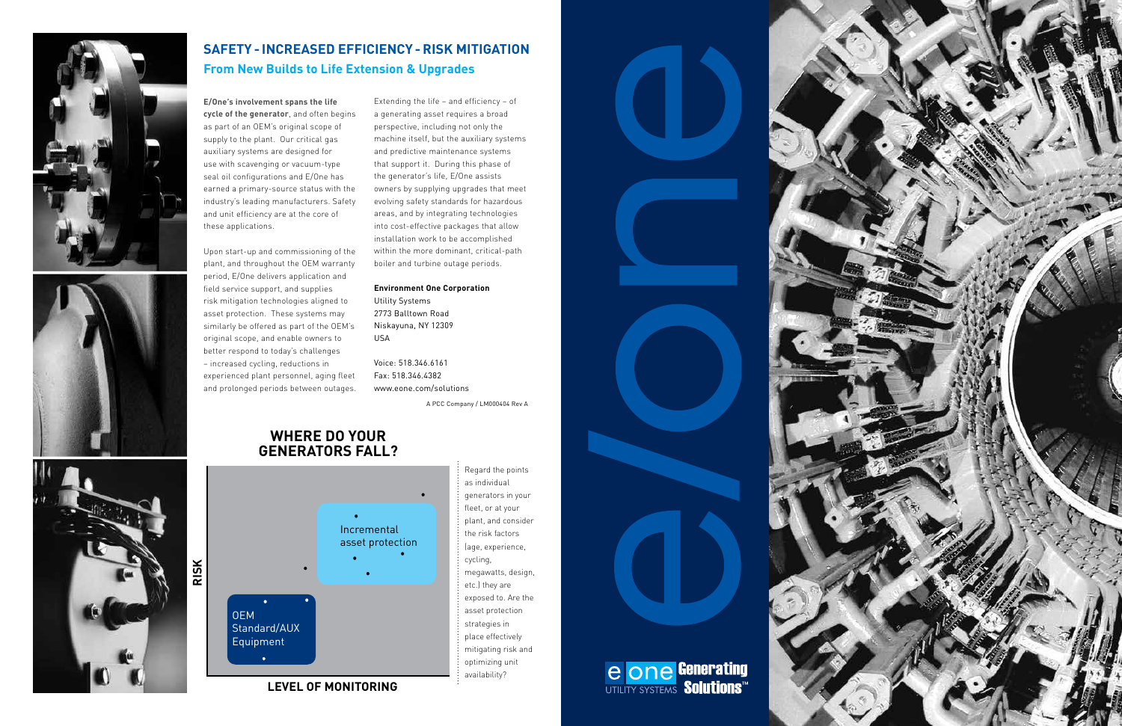



## **SAFETY - INCREASED EFFICIENCY - RISK MITIGATION From New Builds to Life Extension & Upgrades**

**E/One's involvement spans the life cycle of the generator**, and often begins as part of an OEM's original scope of supply to the plant. Our critical gas auxiliary systems are designed for use with scavenging or vacuum-type seal oil configurations and E/One has earned a primary-source status with the industry's leading manufacturers. Safety and unit efficiency are at the core of these applications.

Upon start-up and commissioning of the plant, and throughout the OEM warranty period, E/One delivers application and field service support, and supplies risk mitigation technologies aligned to asset protection. These systems may similarly be offered as part of the OEM's original scope, and enable owners to better respond to today's challenges – increased cycling, reductions in experienced plant personnel, aging fleet and prolonged periods between outages.

Extending the life – and efficiency – of a generating asset requires a broad perspective, including not only the machine itself, but the auxiliary systems and predictive maintenance systems that support it. During this phase of the generator's life, E/One assists owners by supplying upgrades that meet evolving safety standards for hazardous areas, and by integrating technologies into cost-effective packages that allow installation work to be accomplished within the more dominant, critical-path boiler and turbine outage periods.

**Environment One Corporation** Utility Systems 2773 Balltown Road Niskayuna, NY 12309

USA

Voice: 518.346.6161 Fax: 518.346.4382 www.eone.com/solutions

A PCC Company / LM000404 Rev A



Regard the points as individual generators in your fleet, or at your plant, and consider the risk factors (age, experience, cycling, megawatts, design, etc.) they are exposed to. Are the asset protection strategies in place effectively mitigating risk and optimizing unit availability?

**CONE Generating** 





### **WHERE DO YOUR GENERATORS FALL?**